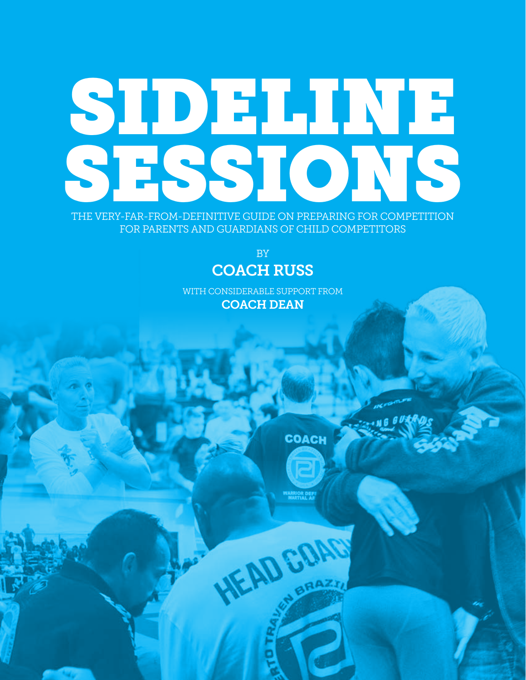## SIDELINE SESSIONS

THE VERY-FAR-FROM-DEFINITIVE GUIDE ON PREPARING FOR COMPETITION FOR PARENTS AND GUARDIANS OF CHILD COMPETITORS

> BY COACH RUSS

WITH CONSIDERABLE SUPPORT FROM COACH DEAN

**COACH** 

HEAD COAC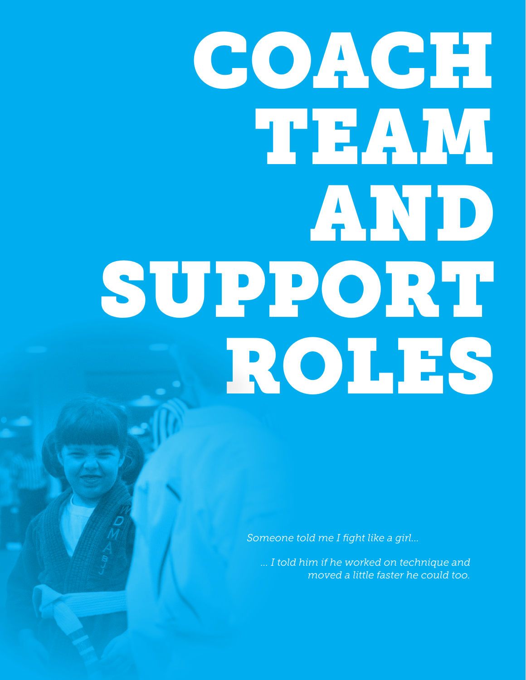# COACH! **TEAM** AND SUPPORT ROLES

*Someone told me I fight like a girl...*

*... I told him if he worked on technique and moved a little faster he could too.*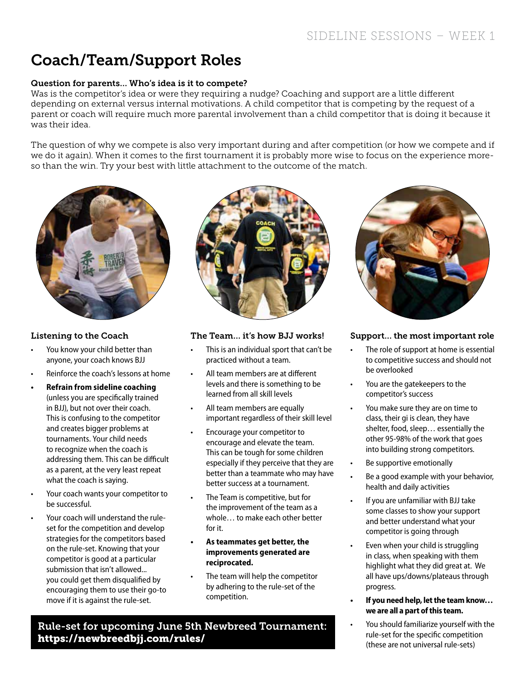## Coach/Team/Support Roles

### Question for parents… Who's idea is it to compete?

Was is the competitor's idea or were they requiring a nudge? Coaching and support are a little different depending on external versus internal motivations. A child competitor that is competing by the request of a parent or coach will require much more parental involvement than a child competitor that is doing it because it was their idea.

The question of why we compete is also very important during and after competition (or how we compete and if we do it again). When it comes to the first tournament it is probably more wise to focus on the experience moreso than the win. Try your best with little attachment to the outcome of the match.



## Listening to the Coach

- You know your child better than anyone, your coach knows BJJ
- Reinforce the coach's lessons at home
- **• Refrain from sideline coaching**  (unless you are specifically trained in BJJ), but not over their coach. This is confusing to the competitor and creates bigger problems at tournaments. Your child needs to recognize when the coach is addressing them. This can be difficult as a parent, at the very least repeat what the coach is saying.
- Your coach wants your competitor to be successful.
- Your coach will understand the ruleset for the competition and develop strategies for the competitors based on the rule-set. Knowing that your competitor is good at a particular submission that isn't allowed... you could get them disqualified by encouraging them to use their go-to move if it is against the rule-set.



#### The Team… it's how BJJ works!

- This is an individual sport that can't be practiced without a team.
- All team members are at different levels and there is something to be learned from all skill levels
- All team members are equally important regardless of their skill level
- Encourage your competitor to encourage and elevate the team. This can be tough for some children especially if they perceive that they are better than a teammate who may have better success at a tournament.
- The Team is competitive, but for the improvement of the team as a whole… to make each other better for it.
- **• As teammates get better, the improvements generated are reciprocated.**
- The team will help the competitor by adhering to the rule-set of the competition.

Rule-set for upcoming June 5th Newbreed Tournament: https://newbreedbjj.com/rules/



### Support… the most important role

- The role of support at home is essential to competitive success and should not be overlooked
- You are the gatekeepers to the competitor's success
- You make sure they are on time to class, their gi is clean, they have shelter, food, sleep… essentially the other 95-98% of the work that goes into building strong competitors.
- Be supportive emotionally
- Be a good example with your behavior, health and daily activities
- If you are unfamiliar with BJJ take some classes to show your support and better understand what your competitor is going through
- Even when your child is struggling in class, when speaking with them highlight what they did great at. We all have ups/downs/plateaus through progress.
- **• If you need help, let the team know… we are all a part of this team.**
- You should familiarize yourself with the rule-set for the specific competition (these are not universal rule-sets)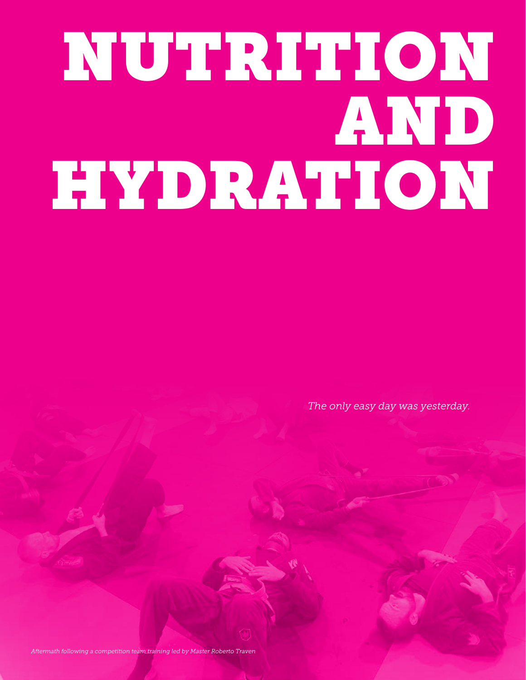## NUTRITION AND HYDRATION

*The only easy day was yesterday.*

*Aftermath following a competition team training led by Master Roberto Traven*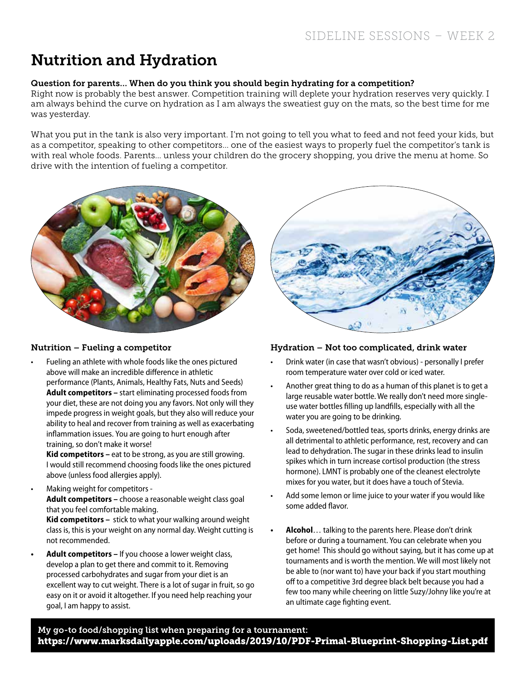## Nutrition and Hydration

### Question for parents… When do you think you should begin hydrating for a competition?

Right now is probably the best answer. Competition training will deplete your hydration reserves very quickly. I am always behind the curve on hydration as I am always the sweatiest guy on the mats, so the best time for me was yesterday.

What you put in the tank is also very important. I'm not going to tell you what to feed and not feed your kids, but as a competitor, speaking to other competitors... one of the easiest ways to properly fuel the competitor's tank is with real whole foods. Parents... unless your children do the grocery shopping, you drive the menu at home. So drive with the intention of fueling a competitor.



### Nutrition – Fueling a competitor

• Fueling an athlete with whole foods like the ones pictured above will make an incredible difference in athletic performance (Plants, Animals, Healthy Fats, Nuts and Seeds) **Adult competitors –** start eliminating processed foods from your diet, these are not doing you any favors. Not only will they impede progress in weight goals, but they also will reduce your ability to heal and recover from training as well as exacerbating inflammation issues. You are going to hurt enough after training, so don't make it worse!

**Kid competitors –** eat to be strong, as you are still growing. I would still recommend choosing foods like the ones pictured above (unless food allergies apply).

• Making weight for competitors -

**Adult competitors –** choose a reasonable weight class goal that you feel comfortable making.

**Kid competitors –** stick to what your walking around weight class is, this is your weight on any normal day. Weight cutting is not recommended.

**• Adult competitors –** If you choose a lower weight class, develop a plan to get there and commit to it. Removing processed carbohydrates and sugar from your diet is an excellent way to cut weight. There is a lot of sugar in fruit, so go easy on it or avoid it altogether. If you need help reaching your goal, I am happy to assist.



### Hydration – Not too complicated, drink water

- Drink water (in case that wasn't obvious) personally I prefer room temperature water over cold or iced water.
- Another great thing to do as a human of this planet is to get a large reusable water bottle. We really don't need more singleuse water bottles filling up landfills, especially with all the water you are going to be drinking.
- Soda, sweetened/bottled teas, sports drinks, energy drinks are all detrimental to athletic performance, rest, recovery and can lead to dehydration. The sugar in these drinks lead to insulin spikes which in turn increase cortisol production (the stress hormone). LMNT is probably one of the cleanest electrolyte mixes for you water, but it does have a touch of Stevia.
- Add some lemon or lime juice to your water if you would like some added flavor.
- **• Alcohol**… talking to the parents here. Please don't drink before or during a tournament. You can celebrate when you get home! This should go without saying, but it has come up at tournaments and is worth the mention. We will most likely not be able to (nor want to) have your back if you start mouthing off to a competitive 3rd degree black belt because you had a few too many while cheering on little Suzy/Johny like you're at an ultimate cage fighting event.

My go-to food/shopping list when preparing for a tournament: https://www.marksdailyapple.com/uploads/2019/10/PDF-Primal-Blueprint-Shopping-List.pdf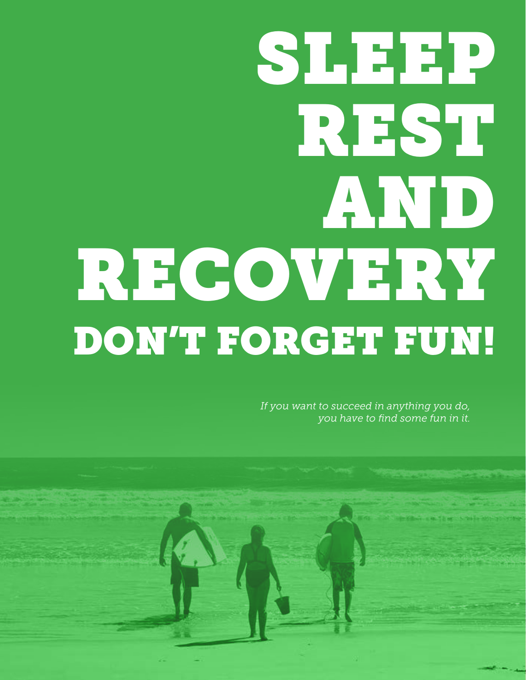## **SLEEP** REST AND RECOVERY DON'T FORGET FUN!

*If you want to succeed in anything you do, you have to find some fun in it.*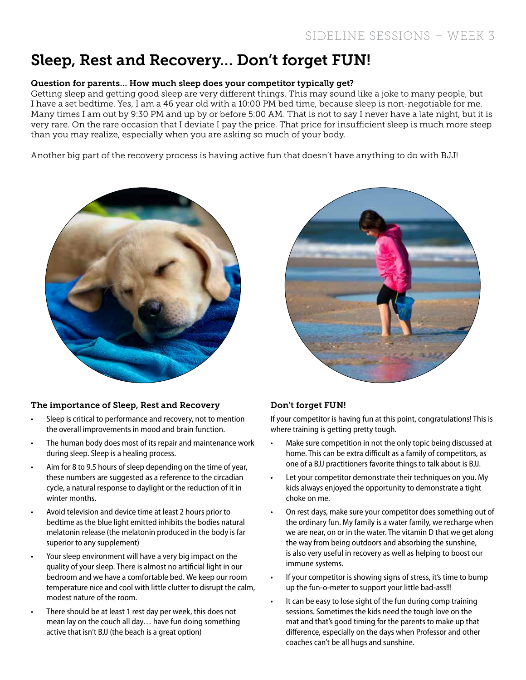## Sleep, Rest and Recovery… Don't forget FUN!

### Question for parents… How much sleep does your competitor typically get?

Getting sleep and getting good sleep are very different things. This may sound like a joke to many people, but I have a set bedtime. Yes, I am a 46 year old with a 10:00 PM bed time, because sleep is non-negotiable for me. Many times I am out by 9:30 PM and up by or before 5:00 AM. That is not to say I never have a late night, but it is very rare. On the rare occasion that I deviate I pay the price. That price for insufficient sleep is much more steep than you may realize, especially when you are asking so much of your body.

Another big part of the recovery process is having active fun that doesn't have anything to do with BJJ!



#### The importance of Sleep, Rest and Recovery

- Sleep is critical to performance and recovery, not to mention the overall improvements in mood and brain function.
- The human body does most of its repair and maintenance work during sleep. Sleep is a healing process.
- Aim for 8 to 9.5 hours of sleep depending on the time of year, these numbers are suggested as a reference to the circadian cycle, a natural response to daylight or the reduction of it in winter months.
- Avoid television and device time at least 2 hours prior to bedtime as the blue light emitted inhibits the bodies natural melatonin release (the melatonin produced in the body is far superior to any supplement)
- Your sleep environment will have a very big impact on the quality of your sleep. There is almost no artificial light in our bedroom and we have a comfortable bed. We keep our room temperature nice and cool with little clutter to disrupt the calm, modest nature of the room.
- There should be at least 1 rest day per week, this does not mean lay on the couch all day… have fun doing something active that isn't BJJ (the beach is a great option)



### Don't forget FUN!

If your competitor is having fun at this point, congratulations! This is where training is getting pretty tough.

- Make sure competition in not the only topic being discussed at home. This can be extra difficult as a family of competitors, as one of a BJJ practitioners favorite things to talk about is BJJ.
- Let your competitor demonstrate their techniques on you. My kids always enjoyed the opportunity to demonstrate a tight choke on me.
- On rest days, make sure your competitor does something out of the ordinary fun. My family is a water family, we recharge when we are near, on or in the water. The vitamin D that we get along the way from being outdoors and absorbing the sunshine, is also very useful in recovery as well as helping to boost our immune systems.
- If your competitor is showing signs of stress, it's time to bump up the fun-o-meter to support your little bad-ass!!!
- It can be easy to lose sight of the fun during comp training sessions. Sometimes the kids need the tough love on the mat and that's good timing for the parents to make up that difference, especially on the days when Professor and other coaches can't be all hugs and sunshine.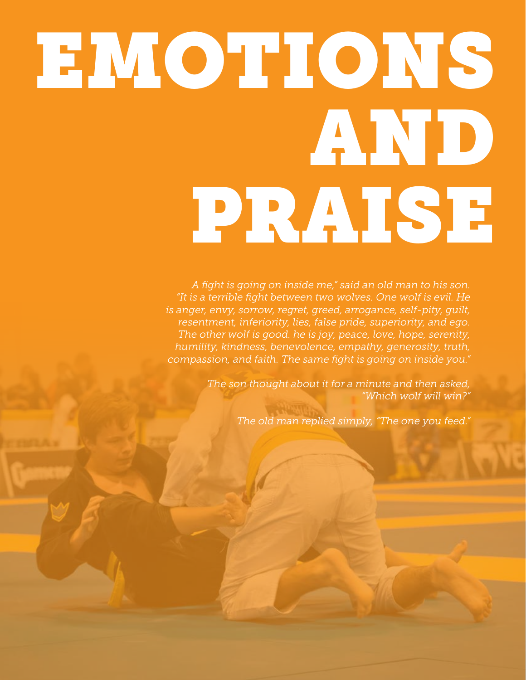# EMOTIONS AND PRAISE

*A fight is going on inside me," said an old man to his son. "It is a terrible fight between two wolves. One wolf is evil. He is anger, envy, sorrow, regret, greed, arrogance, self-pity, guilt, resentment, inferiority, lies, false pride, superiority, and ego. The other wolf is good. he is joy, peace, love, hope, serenity, humility, kindness, benevolence, empathy, generosity, truth, compassion, and faith. The same fight is going on inside you."* 

> *The son thought about it for a minute and then asked, "Which wolf will win?"*

> > *The old man replied simply, "The one you feed."*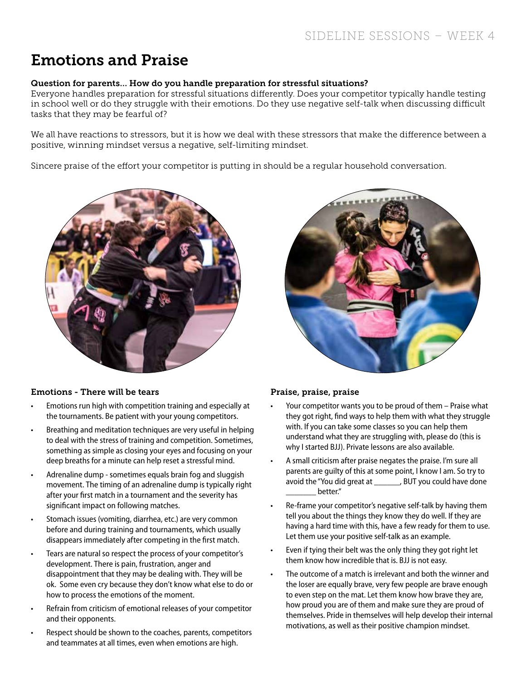## Emotions and Praise

### Question for parents… How do you handle preparation for stressful situations?

Everyone handles preparation for stressful situations differently. Does your competitor typically handle testing in school well or do they struggle with their emotions. Do they use negative self-talk when discussing difficult tasks that they may be fearful of?

We all have reactions to stressors, but it is how we deal with these stressors that make the difference between a positive, winning mindset versus a negative, self-limiting mindset.

Sincere praise of the effort your competitor is putting in should be a regular household conversation.



### Emotions - There will be tears

- Emotions run high with competition training and especially at the tournaments. Be patient with your young competitors.
- Breathing and meditation techniques are very useful in helping to deal with the stress of training and competition. Sometimes, something as simple as closing your eyes and focusing on your deep breaths for a minute can help reset a stressful mind.
- Adrenaline dump sometimes equals brain fog and sluggish movement. The timing of an adrenaline dump is typically right after your first match in a tournament and the severity has significant impact on following matches.
- Stomach issues (vomiting, diarrhea, etc.) are very common before and during training and tournaments, which usually disappears immediately after competing in the first match.
- Tears are natural so respect the process of your competitor's development. There is pain, frustration, anger and disappointment that they may be dealing with. They will be ok. Some even cry because they don't know what else to do or how to process the emotions of the moment.
- Refrain from criticism of emotional releases of your competitor and their opponents.
- Respect should be shown to the coaches, parents, competitors and teammates at all times, even when emotions are high.



## Praise, praise, praise

- Your competitor wants you to be proud of them Praise what they got right, find ways to help them with what they struggle with. If you can take some classes so you can help them understand what they are struggling with, please do (this is why I started BJJ). Private lessons are also available.
- A small criticism after praise negates the praise. I'm sure all parents are guilty of this at some point, I know I am. So try to avoid the "You did great at \_\_\_\_\_\_, BUT you could have done better."
- Re-frame your competitor's negative self-talk by having them tell you about the things they know they do well. If they are having a hard time with this, have a few ready for them to use. Let them use your positive self-talk as an example.
- Even if tying their belt was the only thing they got right let them know how incredible that is. BJJ is not easy.
- The outcome of a match is irrelevant and both the winner and the loser are equally brave, very few people are brave enough to even step on the mat. Let them know how brave they are, how proud you are of them and make sure they are proud of themselves. Pride in themselves will help develop their internal motivations, as well as their positive champion mindset.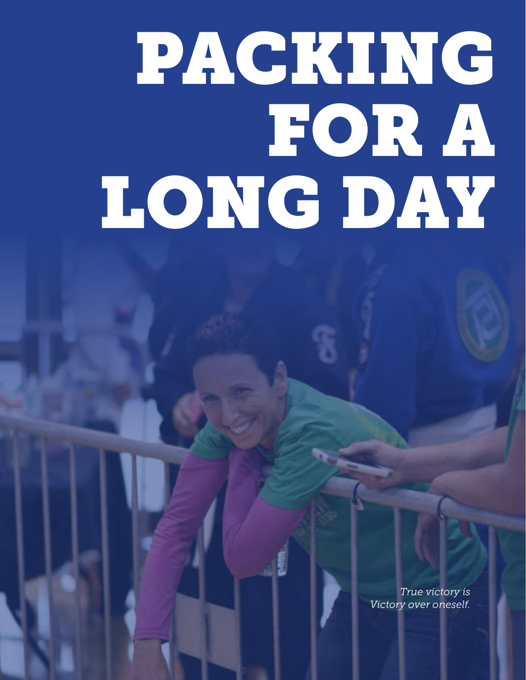## PACKING FOR A LONG DAY

*True victory is Victory over oneself.*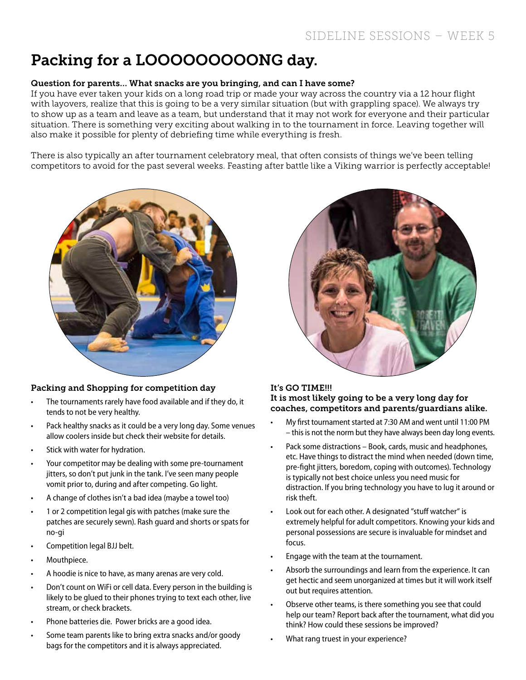## Packing for a LOOOOOOOOONG day.

### Question for parents… What snacks are you bringing, and can I have some?

If you have ever taken your kids on a long road trip or made your way across the country via a 12 hour flight with layovers, realize that this is going to be a very similar situation (but with grappling space). We always try to show up as a team and leave as a team, but understand that it may not work for everyone and their particular situation. There is something very exciting about walking in to the tournament in force. Leaving together will also make it possible for plenty of debriefing time while everything is fresh.

There is also typically an after tournament celebratory meal, that often consists of things we've been telling competitors to avoid for the past several weeks. Feasting after battle like a Viking warrior is perfectly acceptable!



### Packing and Shopping for competition day

- The tournaments rarely have food available and if they do, it tends to not be very healthy.
- Pack healthy snacks as it could be a very long day. Some venues allow coolers inside but check their website for details.
- Stick with water for hydration.
- Your competitor may be dealing with some pre-tournament jitters, so don't put junk in the tank. I've seen many people vomit prior to, during and after competing. Go light.
- A change of clothes isn't a bad idea (maybe a towel too)
- 1 or 2 competition legal gis with patches (make sure the patches are securely sewn). Rash guard and shorts or spats for no-gi
- Competition legal BJJ belt.
- Mouthpiece.
- A hoodie is nice to have, as many arenas are very cold.
- Don't count on WiFi or cell data. Every person in the building is likely to be glued to their phones trying to text each other, live stream, or check brackets.
- Phone batteries die. Power bricks are a good idea.
- Some team parents like to bring extra snacks and/or goody bags for the competitors and it is always appreciated.



#### It's GO TIME!!! It is most likely going to be a very long day for coaches, competitors and parents/guardians alike.

- My first tournament started at 7:30 AM and went until 11:00 PM – this is not the norm but they have always been day long events.
- Pack some distractions Book, cards, music and headphones, etc. Have things to distract the mind when needed (down time, pre-fight jitters, boredom, coping with outcomes). Technology is typically not best choice unless you need music for distraction. If you bring technology you have to lug it around or risk theft.
- Look out for each other. A designated "stuff watcher" is extremely helpful for adult competitors. Knowing your kids and personal possessions are secure is invaluable for mindset and focus.
- Engage with the team at the tournament.
- Absorb the surroundings and learn from the experience. It can get hectic and seem unorganized at times but it will work itself out but requires attention.
- Observe other teams, is there something you see that could help our team? Report back after the tournament, what did you think? How could these sessions be improved?
- What rang truest in your experience?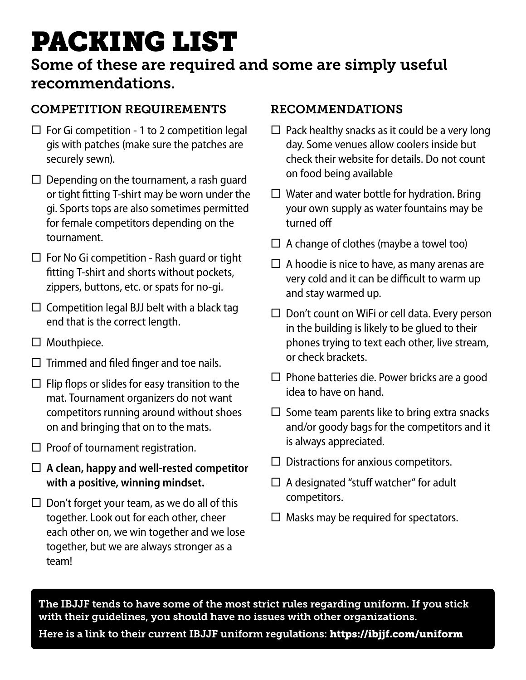## PACKING LIST

## Some of these are required and some are simply useful recommendations.

## COMPETITION REQUIREMENTS

- $\Box$  For Gi competition 1 to 2 competition legal gis with patches (make sure the patches are securely sewn).
- $\Box$  Depending on the tournament, a rash quard or tight fitting T-shirt may be worn under the gi. Sports tops are also sometimes permitted for female competitors depending on the tournament.
- $\Box$  For No Gi competition Rash guard or tight fitting T-shirt and shorts without pockets, zippers, buttons, etc. or spats for no-gi.
- $\Box$  Competition legal BJJ belt with a black tag end that is the correct length.
- $\Box$  Mouthpiece.
- $\Box$  Trimmed and filed finger and toe nails.
- $\Box$  Flip flops or slides for easy transition to the mat. Tournament organizers do not want competitors running around without shoes on and bringing that on to the mats.
- $\Box$  Proof of tournament registration.
- **A clean, happy and well-rested competitor with a positive, winning mindset.**
- $\Box$  Don't forget your team, as we do all of this together. Look out for each other, cheer each other on, we win together and we lose together, but we are always stronger as a team!

## RECOMMENDATIONS

- $\Box$  Pack healthy snacks as it could be a very long day. Some venues allow coolers inside but check their website for details. Do not count on food being available
- $\Box$  Water and water bottle for hydration. Bring your own supply as water fountains may be turned off
- $\Box$  A change of clothes (maybe a towel too)
- $\Box$  A hoodie is nice to have, as many arenas are very cold and it can be difficult to warm up and stay warmed up.
- $\square$  Don't count on WiFi or cell data. Every person in the building is likely to be glued to their phones trying to text each other, live stream, or check brackets.
- $\square$  Phone batteries die. Power bricks are a good idea to have on hand.
- $\square$  Some team parents like to bring extra snacks and/or goody bags for the competitors and it is always appreciated.
- $\Box$  Distractions for anxious competitors.
- $\Box$  A designated "stuff watcher" for adult competitors.
- $\Box$  Masks may be required for spectators.

The IBJJF tends to have some of the most strict rules regarding uniform. If you stick with their guidelines, you should have no issues with other organizations.

Here is a link to their current IBJJF uniform regulations: https://ibjjf.com/uniform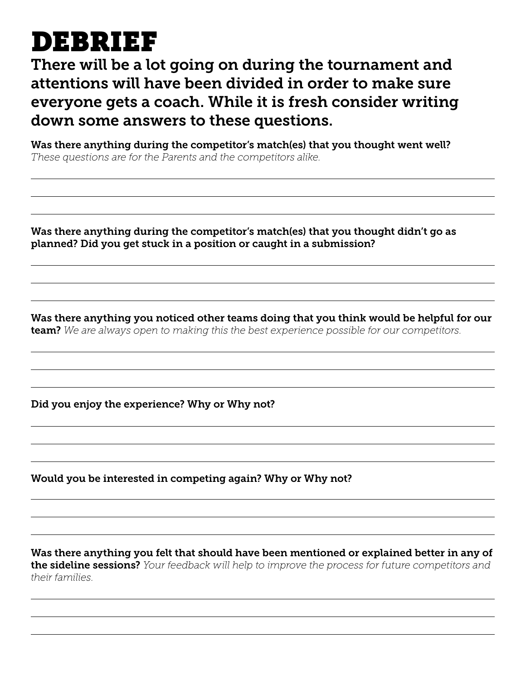## DEBRIEF

There will be a lot going on during the tournament and attentions will have been divided in order to make sure everyone gets a coach. While it is fresh consider writing down some answers to these questions.

Was there anything during the competitor's match(es) that you thought went well? *These questions are for the Parents and the competitors alike.*

Was there anything during the competitor's match(es) that you thought didn't go as planned? Did you get stuck in a position or caught in a submission?

Was there anything you noticed other teams doing that you think would be helpful for our team? *We are always open to making this the best experience possible for our competitors.*

Did you enjoy the experience? Why or Why not?

Would you be interested in competing again? Why or Why not?

Was there anything you felt that should have been mentioned or explained better in any of the sideline sessions? *Your feedback will help to improve the process for future competitors and their families.*